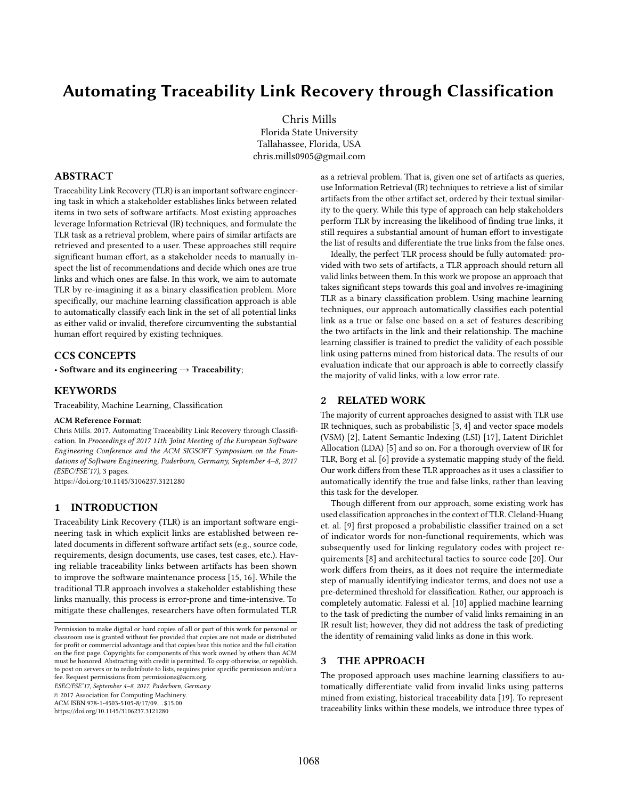# Automating Traceability Link Recovery through Classification

Chris Mills Florida State University Tallahassee, Florida, USA chris.mills0905@gmail.com

#### ABSTRACT

Traceability Link Recovery (TLR) is an important software engineering task in which a stakeholder establishes links between related items in two sets of software artifacts. Most existing approaches leverage Information Retrieval (IR) techniques, and formulate the TLR task as a retrieval problem, where pairs of similar artifacts are retrieved and presented to a user. These approaches still require significant human effort, as a stakeholder needs to manually inspect the list of recommendations and decide which ones are true links and which ones are false. In this work, we aim to automate TLR by re-imagining it as a binary classification problem. More specifically, our machine learning classification approach is able to automatically classify each link in the set of all potential links as either valid or invalid, therefore circumventing the substantial human effort required by existing techniques.

# CCS CONCEPTS

• Software and its engineering  $\rightarrow$  Traceability;

#### KEYWORDS

Traceability, Machine Learning, Classification

#### ACM Reference Format:

Chris Mills. 2017. Automating Traceability Link Recovery through Classification. In Proceedings of 2017 11th Joint Meeting of the European Software Engineering Conference and the ACM SIGSOFT Symposium on the Foundations of Software Engineering, Paderborn, Germany, September 4–8, 2017 (ESEC/FSE'17), [3](#page-2-0) pages.

<https://doi.org/10.1145/3106237.3121280>

### 1 INTRODUCTION

Traceability Link Recovery (TLR) is an important software engineering task in which explicit links are established between related documents in different software artifact sets (e.g., source code, requirements, design documents, use cases, test cases, etc.). Having reliable traceability links between artifacts has been shown to improve the software maintenance process [\[15,](#page-2-1) [16\]](#page-2-2). While the traditional TLR approach involves a stakeholder establishing these links manually, this process is error-prone and time-intensive. To mitigate these challenges, researchers have often formulated TLR

ESEC/FSE'17, September 4–8, 2017, Paderborn, Germany

© 2017 Association for Computing Machinery.

ACM ISBN 978-1-4503-5105-8/17/09. . . \$15.00

<https://doi.org/10.1145/3106237.3121280>

as a retrieval problem. That is, given one set of artifacts as queries, use Information Retrieval (IR) techniques to retrieve a list of similar artifacts from the other artifact set, ordered by their textual similarity to the query. While this type of approach can help stakeholders perform TLR by increasing the likelihood of finding true links, it still requires a substantial amount of human effort to investigate the list of results and differentiate the true links from the false ones.

Ideally, the perfect TLR process should be fully automated: provided with two sets of artifacts, a TLR approach should return all valid links between them. In this work we propose an approach that takes significant steps towards this goal and involves re-imagining TLR as a binary classification problem. Using machine learning techniques, our approach automatically classifies each potential link as a true or false one based on a set of features describing the two artifacts in the link and their relationship. The machine learning classifier is trained to predict the validity of each possible link using patterns mined from historical data. The results of our evaluation indicate that our approach is able to correctly classify the majority of valid links, with a low error rate.

## 2 RELATED WORK

The majority of current approaches designed to assist with TLR use IR techniques, such as probabilistic [\[3,](#page-2-3) [4\]](#page-2-4) and vector space models (VSM) [\[2\]](#page-2-5), Latent Semantic Indexing (LSI) [\[17\]](#page-2-6), Latent Dirichlet Allocation (LDA) [\[5\]](#page-2-7) and so on. For a thorough overview of IR for TLR, Borg et al. [\[6\]](#page-2-8) provide a systematic mapping study of the field. Our work differs from these TLR approaches as it uses a classifier to automatically identify the true and false links, rather than leaving this task for the developer.

Though different from our approach, some existing work has used classification approaches in the context of TLR. Cleland-Huang et. al. [\[9\]](#page-2-9) first proposed a probabilistic classifier trained on a set of indicator words for non-functional requirements, which was subsequently used for linking regulatory codes with project requirements [\[8\]](#page-2-10) and architectural tactics to source code [\[20\]](#page-2-11). Our work differs from theirs, as it does not require the intermediate step of manually identifying indicator terms, and does not use a pre-determined threshold for classification. Rather, our approach is completely automatic. Falessi et al. [\[10\]](#page-2-12) applied machine learning to the task of predicting the number of valid links remaining in an IR result list; however, they did not address the task of predicting the identity of remaining valid links as done in this work.

# 3 THE APPROACH

The proposed approach uses machine learning classifiers to automatically differentiate valid from invalid links using patterns mined from existing, historical traceability data [\[19\]](#page-2-13). To represent traceability links within these models, we introduce three types of

Permission to make digital or hard copies of all or part of this work for personal or classroom use is granted without fee provided that copies are not made or distributed for profit or commercial advantage and that copies bear this notice and the full citation on the first page. Copyrights for components of this work owned by others than ACM must be honored. Abstracting with credit is permitted. To copy otherwise, or republish, to post on servers or to redistribute to lists, requires prior specific permission and/or a fee. Request permissions from permissions@acm.org.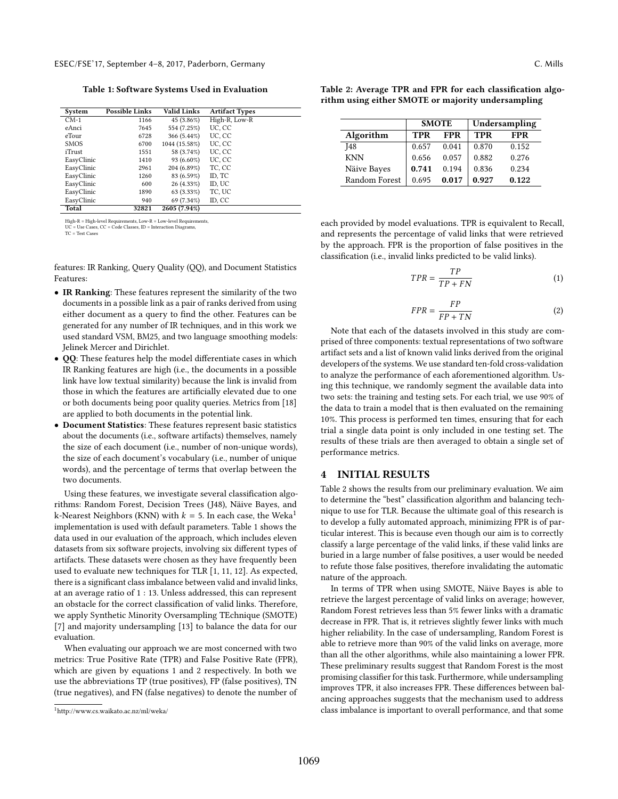Table 1: Software Systems Used in Evaluation

<span id="page-1-1"></span>

| System      | <b>Possible Links</b> | Valid Links   | <b>Artifact Types</b> |  |
|-------------|-----------------------|---------------|-----------------------|--|
| $CM-1$      | 1166                  | 45 (3.86%)    | High-R, Low-R         |  |
| eAnci       | 7645                  | 554 (7.25%)   | UC, CC                |  |
| eTour       | 6728                  | 366 (5.44%)   | UC, CC                |  |
| <b>SMOS</b> | 6700                  | 1044 (15.58%) | UC, CC                |  |
| iTrust      | 1551                  | 58 (3.74%)    | UC. CC                |  |
| EasyClinic  | 1410                  | 93 (6.60%)    | UC. CC                |  |
| EasyClinic  | 2961                  | 204 (6.89%)   | TC, CC                |  |
| EasyClinic  | 1260                  | 83 (6.59%)    | ID, TC                |  |
| EasyClinic  | 600                   | 26 (4.33%)    | ID, UC                |  |
| EasyClinic  | 1890                  | 63 (3.33%)    | TC, UC                |  |
| EasyClinic  | 940                   | 69 (7.34%)    | ID, CC                |  |
| Total       | 32821                 | 2605 (7.94%)  |                       |  |

High-R = High-level Requirements, Low-R = Low-level Requirements, UC = Use Cases, CC = Code Classes, ID = Interaction Diagrams, TC = Test Cases

features: IR Ranking, Query Quality (QQ), and Document Statistics Features:

- IR Ranking: These features represent the similarity of the two documents in a possible link as a pair of ranks derived from using either document as a query to find the other. Features can be generated for any number of IR techniques, and in this work we used standard VSM, BM25, and two language smoothing models: Jelinek Mercer and Dirichlet.
- QQ: These features help the model differentiate cases in which IR Ranking features are high (i.e., the documents in a possible link have low textual similarity) because the link is invalid from those in which the features are artificially elevated due to one or both documents being poor quality queries. Metrics from [\[18\]](#page-2-14) are applied to both documents in the potential link.
- Document Statistics: These features represent basic statistics about the documents (i.e., software artifacts) themselves, namely the size of each document (i.e., number of non-unique words), the size of each document's vocabulary (i.e., number of unique words), and the percentage of terms that overlap between the two documents.

Using these features, we investigate several classification algorithms: Random Forest, Decision Trees (J48), Näive Bayes, and k-Nearest Neighbors (KNN) with  $k = 5$ . In each case, the Weka<sup>[1](#page-1-0)</sup> implementation is used with default parameters. Table [1](#page-1-1) shows the data used in our evaluation of the approach, which includes eleven datasets from six software projects, involving six different types of artifacts. These datasets were chosen as they have frequently been used to evaluate new techniques for TLR [\[1,](#page-2-15) [11,](#page-2-16) [12\]](#page-2-17). As expected, there is a significant class imbalance between valid and invalid links, at an average ratio of 1 : 13. Unless addressed, this can represent an obstacle for the correct classification of valid links. Therefore, we apply Synthetic Minority Oversampling TEchnique (SMOTE) [\[7\]](#page-2-18) and majority undersampling [\[13\]](#page-2-19) to balance the data for our evaluation.

When evaluating our approach we are most concerned with two metrics: True Positive Rate (TPR) and False Positive Rate (FPR), which are given by equations [1](#page-1-2) and [2](#page-1-3) respectively. In both we use the abbreviations TP (true positives), FP (false positives), TN (true negatives), and FN (false negatives) to denote the number of

<span id="page-1-4"></span>

| Table 2: Average TPR and FPR for each classification algo- |  |
|------------------------------------------------------------|--|
| rithm using either SMOTE or majority undersampling         |  |

|               | <b>SMOTE</b> |       | Undersampling |            |
|---------------|--------------|-------|---------------|------------|
| Algorithm     | <b>TPR</b>   | FPR   | <b>TPR</b>    | <b>FPR</b> |
| I48           | 0.657        | 0.041 | 0.870         | 0.152      |
| <b>KNN</b>    | 0.656        | 0.057 | 0.882         | 0.276      |
| Näive Bayes   | 0.741        | 0.194 | 0.836         | 0.234      |
| Random Forest | 0.695        | 0.017 | 0.927         | 0.122      |

each provided by model evaluations. TPR is equivalent to Recall, and represents the percentage of valid links that were retrieved by the approach. FPR is the proportion of false positives in the classification (i.e., invalid links predicted to be valid links).

<span id="page-1-2"></span>
$$
TPR = \frac{TP}{TP + FN} \tag{1}
$$

<span id="page-1-3"></span>
$$
FPR = \frac{FP}{FP + TN} \tag{2}
$$

Note that each of the datasets involved in this study are comprised of three components: textual representations of two software artifact sets and a list of known valid links derived from the original developers of the systems. We use standard ten-fold cross-validation to analyze the performance of each aforementioned algorithm. Using this technique, we randomly segment the available data into two sets: the training and testing sets. For each trial, we use 90% of the data to train a model that is then evaluated on the remaining 10%. This process is performed ten times, ensuring that for each trial a single data point is only included in one testing set. The results of these trials are then averaged to obtain a single set of performance metrics.

#### 4 INITIAL RESULTS

Table [2](#page-1-4) shows the results from our preliminary evaluation. We aim to determine the "best" classification algorithm and balancing technique to use for TLR. Because the ultimate goal of this research is to develop a fully automated approach, minimizing FPR is of particular interest. This is because even though our aim is to correctly classify a large percentage of the valid links, if these valid links are buried in a large number of false positives, a user would be needed to refute those false positives, therefore invalidating the automatic nature of the approach.

In terms of TPR when using SMOTE, Näive Bayes is able to retrieve the largest percentage of valid links on average; however, Random Forest retrieves less than 5% fewer links with a dramatic decrease in FPR. That is, it retrieves slightly fewer links with much higher reliability. In the case of undersampling, Random Forest is able to retrieve more than 90% of the valid links on average, more than all the other algorithms, while also maintaining a lower FPR. These preliminary results suggest that Random Forest is the most promising classifier for this task. Furthermore, while undersampling improves TPR, it also increases FPR. These differences between balancing approaches suggests that the mechanism used to address class imbalance is important to overall performance, and that some

<span id="page-1-0"></span><sup>1</sup><http://www.cs.waikato.ac.nz/ml/weka/>